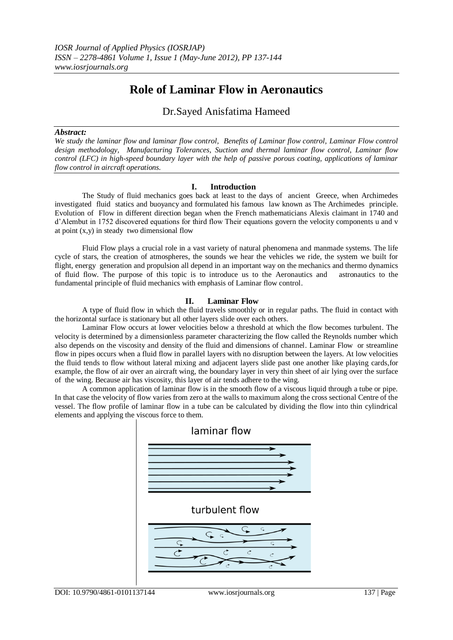# **Role of Laminar Flow in Aeronautics**

Dr.Sayed Anisfatima Hameed

#### *Abstract:*

*We study the laminar flow and laminar flow control, Benefits of Laminar flow control, Laminar Flow control design methodology, Manufacturing Tolerances, Suction and thermal laminar flow control, Laminar flow control (LFC) in high-speed boundary layer with the help of passive porous coating, applications of laminar flow control in aircraft operations.*

## **I. Introduction**

The Study of fluid mechanics goes back at least to the days of ancient Greece, when Archimedes investigated fluid statics and buoyancy and formulated his famous law known as The Archimedes principle. Evolution of Flow in different direction began when the French mathematicians Alexis claimant in 1740 and d'Alembut in 1752 discovered equations for third flow Their equations govern the velocity components u and v at point  $(x,y)$  in steady two dimensional flow

Fluid Flow plays a crucial role in a vast variety of natural phenomena and manmade systems. The life cycle of stars, the creation of atmospheres, the sounds we hear the vehicles we ride, the system we built for flight, energy generation and propulsion all depend in an important way on the mechanics and thermo dynamics of fluid flow. The purpose of this topic is to introduce us to the Aeronautics and astronautics to the of fluid flow. The purpose of this topic is to introduce us to the Aeronautics and fundamental principle of fluid mechanics with emphasis of Laminar flow control.

# **II. Laminar Flow**

A type of fluid flow in which the fluid travels smoothly or in regular paths. The fluid in contact with the horizontal surface is stationary but all other layers slide over each others.

Laminar Flow occurs at lower velocities below a threshold at which the flow becomes turbulent. The velocity is determined by a dimensionless parameter characterizing the flow called the Reynolds number which also depends on the viscosity and density of the fluid and dimensions of channel. Laminar Flow or streamline flow in pipes occurs when a fluid flow in parallel layers with no disruption between the layers. At low velocities the fluid tends to flow without lateral mixing and adjacent layers slide past one another like playing cards,for example, the flow of air over an aircraft wing, the boundary layer in very thin sheet of air lying over the surface of the wing. Because air has viscosity, this layer of air tends adhere to the wing.

A common application of laminar flow is in the smooth flow of a viscous liquid through a tube or pipe. In that case the velocity of flow varies from zero at the walls to maximum along the cross sectional Centre of the vessel. The flow profile of laminar flow in a tube can be calculated by dividing the flow into thin cylindrical elements and applying the viscous force to them.

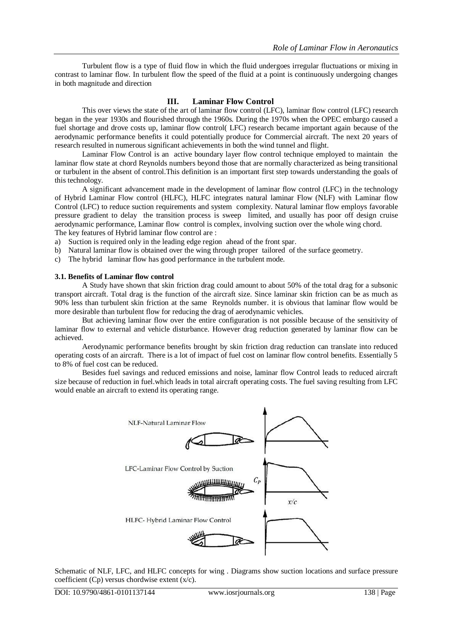Turbulent flow is a type of fluid flow in which the fluid undergoes irregular fluctuations or mixing in contrast to laminar flow. In turbulent flow the speed of the fluid at a point is continuously undergoing changes in both magnitude and direction

# **III. Laminar Flow Control**

This over views the state of the art of laminar flow control (LFC), laminar flow control (LFC) research began in the year 1930s and flourished through the 1960s. During the 1970s when the OPEC embargo caused a fuel shortage and drove costs up, laminar flow control( LFC) research became important again because of the aerodynamic performance benefits it could potentially produce for Commercial aircraft. The next 20 years of research resulted in numerous significant achievements in both the wind tunnel and flight.

Laminar Flow Control is an active boundary layer flow control technique employed to maintain the laminar flow state at chord Reynolds numbers beyond those that are normally characterized as being transitional or turbulent in the absent of control.This definition is an important first step towards understanding the goals of this technology.

A significant advancement made in the development of laminar flow control (LFC) in the technology of Hybrid Laminar Flow control (HLFC), HLFC integrates natural laminar Flow (NLF) with Laminar flow Control (LFC) to reduce suction requirements and system complexity. Natural laminar flow employs favorable pressure gradient to delay the transition process is sweep limited, and usually has poor off design cruise aerodynamic performance, Laminar flow control is complex, involving suction over the whole wing chord. The key features of Hybrid laminar flow control are :

- a) Suction is required only in the leading edge region ahead of the front spar.
- b) Natural laminar flow is obtained over the wing through proper tailored of the surface geometry.
- c) The hybrid laminar flow has good performance in the turbulent mode.

#### **3.1. Benefits of Laminar flow control**

A Study have shown that skin friction drag could amount to about 50% of the total drag for a subsonic transport aircraft. Total drag is the function of the aircraft size. Since laminar skin friction can be as much as 90% less than turbulent skin friction at the same Reynolds number. it is obvious that laminar flow would be more desirable than turbulent flow for reducing the drag of aerodynamic vehicles.

But achieving laminar flow over the entire configuration is not possible because of the sensitivity of laminar flow to external and vehicle disturbance. However drag reduction generated by laminar flow can be achieved.

Aerodynamic performance benefits brought by skin friction drag reduction can translate into reduced operating costs of an aircraft. There is a lot of impact of fuel cost on laminar flow control benefits. Essentially 5 to 8% of fuel cost can be reduced.

Besides fuel savings and reduced emissions and noise, laminar flow Control leads to reduced aircraft size because of reduction in fuel.which leads in total aircraft operating costs. The fuel saving resulting from LFC would enable an aircraft to extend its operating range.



Schematic of NLF, LFC, and HLFC concepts for wing . Diagrams show suction locations and surface pressure coefficient (Cp) versus chordwise extent (x/c).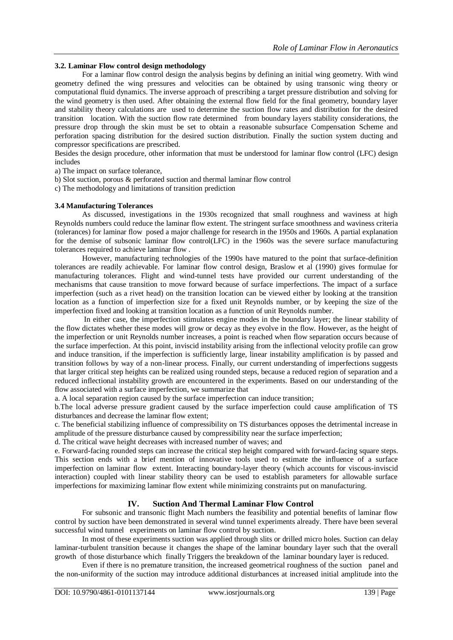## **3.2. Laminar Flow control design methodology**

For a laminar flow control design the analysis begins by defining an initial wing geometry. With wind geometry defined the wing pressures and velocities can be obtained by using transonic wing theory or computational fluid dynamics. The inverse approach of prescribing a target pressure distribution and solving for the wind geometry is then used. After obtaining the external flow field for the final geometry, boundary layer and stability theory calculations are used to determine the suction flow rates and distribution for the desired transition location. With the suction flow rate determined from boundary layers stability considerations, the pressure drop through the skin must be set to obtain a reasonable subsurface Compensation Scheme and perforation spacing distribution for the desired suction distribution. Finally the suction system ducting and compressor specifications are prescribed.

Besides the design procedure, other information that must be understood for laminar flow control (LFC) design includes

a) The impact on surface tolerance,

- b) Slot suction, porous & perforated suction and thermal laminar flow control
- c) The methodology and limitations of transition prediction

#### **3.4 Manufacturing Tolerances**

As discussed, investigations in the 1930s recognized that small roughness and waviness at high Reynolds numbers could reduce the laminar flow extent. The stringent surface smoothness and waviness criteria (tolerances) for laminar flow posed a major challenge for research in the 1950s and 1960s. A partial explanation for the demise of subsonic laminar flow control(LFC) in the 1960s was the severe surface manufacturing tolerances required to achieve laminar flow .

However, manufacturing technologies of the 1990s have matured to the point that surface-definition tolerances are readily achievable. For laminar flow control design, Braslow et al (1990) gives formulae for manufacturing tolerances. Flight and wind-tunnel tests have provided our current understanding of the mechanisms that cause transition to move forward because of surface imperfections. The impact of a surface imperfection (such as a rivet head) on the transition location can be viewed either by looking at the transition location as a function of imperfection size for a fixed unit Reynolds number, or by keeping the size of the imperfection fixed and looking at transition location as a function of unit Reynolds number.

In either case, the imperfection stimulates engine modes in the boundary layer; the linear stability of the flow dictates whether these modes will grow or decay as they evolve in the flow. However, as the height of the imperfection or unit Reynolds number increases, a point is reached when flow separation occurs because of the surface imperfection. At this point, inviscid instability arising from the inflectional velocity profile can grow and induce transition, if the imperfection is sufficiently large, linear instability amplification is by passed and transition follows by way of a non-linear process. Finally, our current understanding of imperfections suggests that larger critical step heights can be realized using rounded steps, because a reduced region of separation and a reduced inflectional instability growth are encountered in the experiments. Based on our understanding of the flow associated with a surface imperfection, we summarize that

a. A local separation region caused by the surface imperfection can induce transition;

b.The local adverse pressure gradient caused by the surface imperfection could cause amplification of TS disturbances and decrease the laminar flow extent;

c. The beneficial stabilizing influence of compressibility on TS disturbances opposes the detrimental increase in amplitude of the pressure disturbance caused by compressibility near the surface imperfection;

d. The critical wave height decreases with increased number of waves; and

e. Forward-facing rounded steps can increase the critical step height compared with forward-facing square steps. This section ends with a brief mention of innovative tools used to estimate the influence of a surface imperfection on laminar flow extent. Interacting boundary-layer theory (which accounts for viscous-inviscid interaction) coupled with linear stability theory can be used to establish parameters for allowable surface imperfections for maximizing laminar flow extent while minimizing constraints put on manufacturing.

# **IV. Suction And Thermal Laminar Flow Control**

For subsonic and transonic flight Mach numbers the feasibility and potential benefits of laminar flow control by suction have been demonstrated in several wind tunnel experiments already. There have been several successful wind tunnel experiments on laminar flow control by suction.

In most of these experiments suction was applied through slits or drilled micro holes. Suction can delay laminar-turbulent transition because it changes the shape of the laminar boundary layer such that the overall growth of those disturbance which finally Triggers the breakdown of the laminar boundary layer is reduced.

Even if there is no premature transition, the increased geometrical roughness of the suction panel and the non-uniformity of the suction may introduce additional disturbances at increased initial amplitude into the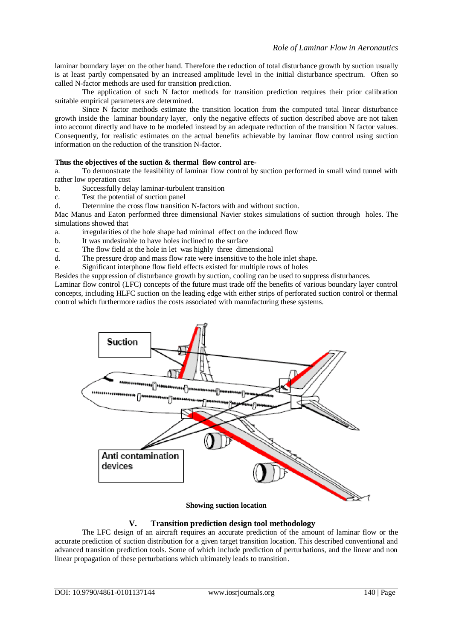laminar boundary layer on the other hand. Therefore the reduction of total disturbance growth by suction usually is at least partly compensated by an increased amplitude level in the initial disturbance spectrum. Often so called N-factor methods are used for transition prediction.

The application of such N factor methods for transition prediction requires their prior calibration suitable empirical parameters are determined.

Since N factor methods estimate the transition location from the computed total linear disturbance growth inside the laminar boundary layer, only the negative effects of suction described above are not taken into account directly and have to be modeled instead by an adequate reduction of the transition N factor values. Consequently, for realistic estimates on the actual benefits achievable by laminar flow control using suction information on the reduction of the transition N-factor.

## **Thus the objectives of the suction & thermal flow control are-**

a. To demonstrate the feasibility of laminar flow control by suction performed in small wind tunnel with rather low operation cost

- b. Successfully delay laminar-turbulent transition
- c. Test the potential of suction panel
- d. Determine the cross flow transition N-factors with and without suction.

Mac Manus and Eaton performed three dimensional Navier stokes simulations of suction through holes. The simulations showed that

- a. irregularities of the hole shape had minimal effect on the induced flow
- b. It was undesirable to have holes inclined to the surface
- c. The flow field at the hole in let was highly three dimensional
- d. The pressure drop and mass flow rate were insensitive to the hole inlet shape.
- e. Significant interphone flow field effects existed for multiple rows of holes

Besides the suppression of disturbance growth by suction, cooling can be used to suppress disturbances.

Laminar flow control (LFC) concepts of the future must trade off the benefits of various boundary layer control concepts, including HLFC suction on the leading edge with either strips of perforated suction control or thermal control which furthermore radius the costs associated with manufacturing these systems.



#### **Showing suction location**

## **V. Transition prediction design tool methodology**

The LFC design of an aircraft requires an accurate prediction of the amount of laminar flow or the accurate prediction of suction distribution for a given target transition location. This described conventional and advanced transition prediction tools. Some of which include prediction of perturbations, and the linear and non linear propagation of these perturbations which ultimately leads to transition.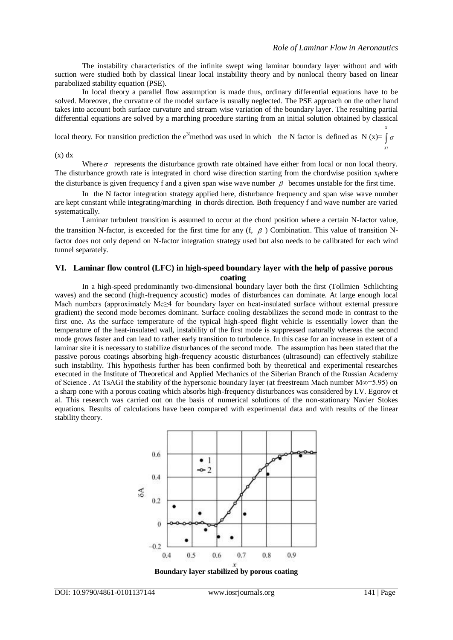*X*

*XI*

The instability characteristics of the infinite swept wing laminar boundary layer without and with suction were studied both by classical linear local instability theory and by nonlocal theory based on linear parabolized stability equation (PSE).

In local theory a parallel flow assumption is made thus, ordinary differential equations have to be solved. Moreover, the curvature of the model surface is usually neglected. The PSE approach on the other hand takes into account both surface curvature and stream wise variation of the boundary layer. The resulting partial differential equations are solved by a marching procedure starting from an initial solution obtained by classical

local theory. For transition prediction the e<sup>N</sup>method was used in which the N factor is defined as N (x)=  $\int \sigma$ 

 $(x) dx$ 

Where  $\sigma$  represents the disturbance growth rate obtained have either from local or non local theory. The disturbance growth rate is integrated in chord wise direction starting from the chordwise position  $x_1$ where the disturbance is given frequency f and a given span wise wave number  $\beta$  becomes unstable for the first time.

In the N factor integration strategy applied here, disturbance frequency and span wise wave number are kept constant while integrating/marching in chords direction. Both frequency f and wave number are varied systematically.

Laminar turbulent transition is assumed to occur at the chord position where a certain N-factor value, the transition N-factor, is exceeded for the first time for any  $(f, \beta)$  Combination. This value of transition Nfactor does not only depend on N-factor integration strategy used but also needs to be calibrated for each wind tunnel separately.

#### **VI. Laminar flow control (LFC) in high-speed boundary layer with the help of passive porous coating**

In a high-speed predominantly two-dimensional boundary layer both the first (Tollmien–Schlichting waves) and the second (high-frequency acoustic) modes of disturbances can dominate. At large enough local Mach numbers (approximately Me≥4 for boundary layer on heat-insulated surface without external pressure gradient) the second mode becomes dominant. Surface cooling destabilizes the second mode in contrast to the first one. As the surface temperature of the typical high-speed flight vehicle is essentially lower than the temperature of the heat-insulated wall, instability of the first mode is suppressed naturally whereas the second mode grows faster and can lead to rather early transition to turbulence. In this case for an increase in extent of a laminar site it is necessary to stabilize disturbances of the second mode. The assumption has been stated that the passive porous coatings absorbing high-frequency acoustic disturbances (ultrasound) can effectively stabilize such instability. This hypothesis further has been confirmed both by theoretical and experimental researches executed in the Institute of Theoretical and Applied Mechanics of the Siberian Branch of the Russian Academy of Science . At TsAGI the stability of the hypersonic boundary layer (at freestream Mach number M∞=5.95) on a sharp cone with a porous coating which absorbs high-frequency disturbances was considered by I.V. Egorov et al. This research was carried out on the basis of numerical solutions of the non-stationary Navier Stokes equations. Results of calculations have been compared with experimental data and with results of the linear stability theory.



**Boundary layer stabilized by porous coating**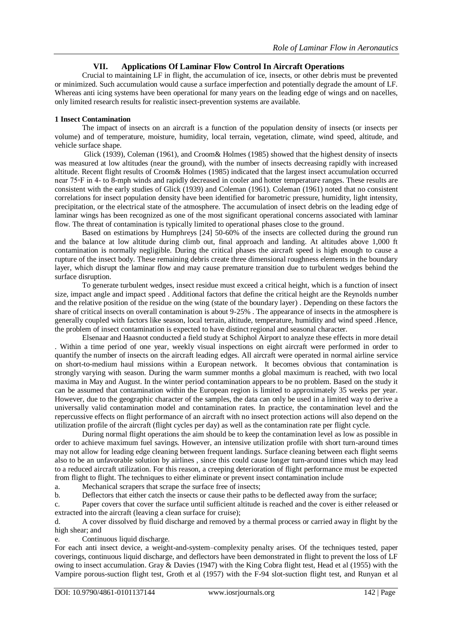# **VII. Applications Of Laminar Flow Control In Aircraft Operations**

Crucial to maintaining LF in flight, the accumulation of ice, insects, or other debris must be prevented or minimized. Such accumulation would cause a surface imperfection and potentially degrade the amount of LF. Whereas anti icing systems have been operational for many years on the leading edge of wings and on nacelles, only limited research results for realistic insect-prevention systems are available.

## **1 Insect Contamination**

The impact of insects on an aircraft is a function of the population density of insects (or insects per volume) and of temperature, moisture, humidity, local terrain, vegetation, climate, wind speed, altitude, and vehicle surface shape.

Glick (1939), Coleman (1961), and Croom& Holmes (1985) showed that the highest density of insects was measured at low altitudes (near the ground), with the number of insects decreasing rapidly with increased altitude. Recent flight results of Croom& Holmes (1985) indicated that the largest insect accumulation occurred near 75◦F in 4- to 8-mph winds and rapidly decreased in cooler and hotter temperature ranges. These results are consistent with the early studies of Glick (1939) and Coleman (1961). Coleman (1961) noted that no consistent correlations for insect population density have been identified for barometric pressure, humidity, light intensity, precipitation, or the electrical state of the atmosphere. The accumulation of insect debris on the leading edge of laminar wings has been recognized as one of the most significant operational concerns associated with laminar flow. The threat of contamination is typically limited to operational phases close to the ground.

Based on estimations by Humphreys [24] 50-60% of the insects are collected during the ground run and the balance at low altitude during climb out, final approach and landing. At altitudes above 1,000 ft contamination is normally negligible. During the critical phases the aircraft speed is high enough to cause a rupture of the insect body. These remaining debris create three dimensional roughness elements in the boundary layer, which disrupt the laminar flow and may cause premature transition due to turbulent wedges behind the surface disruption.

To generate turbulent wedges, insect residue must exceed a critical height, which is a function of insect size, impact angle and impact speed . Additional factors that define the critical height are the Reynolds number and the relative position of the residue on the wing (state of the boundary layer) . Depending on these factors the share of critical insects on overall contamination is about 9-25% . The appearance of insects in the atmosphere is generally coupled with factors like season, local terrain, altitude, temperature, humidity and wind speed .Hence, the problem of insect contamination is expected to have distinct regional and seasonal character.

Elsenaar and Haasnot conducted a field study at Schiphol Airport to analyze these effects in more detail . Within a time period of one year, weekly visual inspections on eight aircraft were performed in order to quantify the number of insects on the aircraft leading edges. All aircraft were operated in normal airline service on short-to-medium haul missions within a European network. It becomes obvious that contamination is strongly varying with season. During the warm summer months a global maximum is reached, with two local maxima in May and August. In the winter period contamination appears to be no problem. Based on the study it can be assumed that contamination within the European region is limited to approximately 35 weeks per year. However, due to the geographic character of the samples, the data can only be used in a limited way to derive a universally valid contamination model and contamination rates. In practice, the contamination level and the repercussive effects on flight performance of an aircraft with no insect protection actions will also depend on the utilization profile of the aircraft (flight cycles per day) as well as the contamination rate per flight cycle.

During normal flight operations the aim should be to keep the contamination level as low as possible in order to achieve maximum fuel savings. However, an intensive utilization profile with short turn-around times may not allow for leading edge cleaning between frequent landings. Surface cleaning between each flight seems also to be an unfavorable solution by airlines , since this could cause longer turn-around times which may lead to a reduced aircraft utilization. For this reason, a creeping deterioration of flight performance must be expected from flight to flight. The techniques to either eliminate or prevent insect contamination include

a. Mechanical scrapers that scrape the surface free of insects;

b. Deflectors that either catch the insects or cause their paths to be deflected away from the surface;

c. Paper covers that cover the surface until sufficient altitude is reached and the cover is either released or extracted into the aircraft (leaving a clean surface for cruise);

d. A cover dissolved by fluid discharge and removed by a thermal process or carried away in flight by the high shear; and

e. Continuous liquid discharge.

For each anti insect device, a weight-and-system–complexity penalty arises. Of the techniques tested, paper coverings, continuous liquid discharge, and deflectors have been demonstrated in flight to prevent the loss of LF owing to insect accumulation. Gray & Davies (1947) with the King Cobra flight test, Head et al (1955) with the Vampire porous-suction flight test, Groth et al (1957) with the F-94 slot-suction flight test, and Runyan et al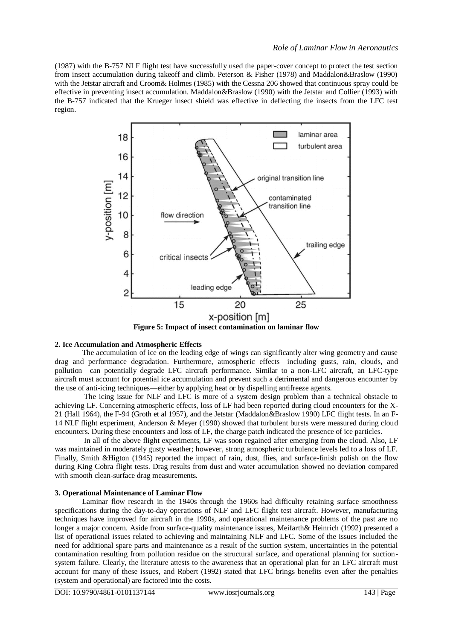(1987) with the B-757 NLF flight test have successfully used the paper-cover concept to protect the test section from insect accumulation during takeoff and climb. Peterson & Fisher (1978) and Maddalon&Braslow (1990) with the Jetstar aircraft and Croom & Holmes (1985) with the Cessna 206 showed that continuous spray could be effective in preventing insect accumulation. Maddalon&Braslow (1990) with the Jetstar and Collier (1993) with the B-757 indicated that the Krueger insect shield was effective in deflecting the insects from the LFC test region.



**Figure 5: Impact of insect contamination on laminar flow**

# **2. Ice Accumulation and Atmospheric Effects**

The accumulation of ice on the leading edge of wings can significantly alter wing geometry and cause drag and performance degradation. Furthermore, atmospheric effects—including gusts, rain, clouds, and pollution—can potentially degrade LFC aircraft performance. Similar to a non-LFC aircraft, an LFC-type aircraft must account for potential ice accumulation and prevent such a detrimental and dangerous encounter by the use of anti-icing techniques—either by applying heat or by dispelling antifreeze agents.

The icing issue for NLF and LFC is more of a system design problem than a technical obstacle to achieving LF. Concerning atmospheric effects, loss of LF had been reported during cloud encounters for the X-21 (Hall 1964), the F-94 (Groth et al 1957), and the Jetstar (Maddalon&Braslow 1990) LFC flight tests. In an F-14 NLF flight experiment, Anderson & Meyer (1990) showed that turbulent bursts were measured during cloud encounters. During these encounters and loss of LF, the charge patch indicated the presence of ice particles.

In all of the above flight experiments, LF was soon regained after emerging from the cloud. Also, LF was maintained in moderately gusty weather; however, strong atmospheric turbulence levels led to a loss of LF. Finally, Smith &Higton (1945) reported the impact of rain, dust, flies, and surface-finish polish on the flow during King Cobra flight tests. Drag results from dust and water accumulation showed no deviation compared with smooth clean-surface drag measurements.

## **3. Operational Maintenance of Laminar Flow**

Laminar flow research in the 1940s through the 1960s had difficulty retaining surface smoothness specifications during the day-to-day operations of NLF and LFC flight test aircraft. However, manufacturing techniques have improved for aircraft in the 1990s, and operational maintenance problems of the past are no longer a major concern. Aside from surface-quality maintenance issues, Meifarth& Heinrich (1992) presented a list of operational issues related to achieving and maintaining NLF and LFC. Some of the issues included the need for additional spare parts and maintenance as a result of the suction system, uncertainties in the potential contamination resulting from pollution residue on the structural surface, and operational planning for suctionsystem failure. Clearly, the literature attests to the awareness that an operational plan for an LFC aircraft must account for many of these issues, and Robert (1992) stated that LFC brings benefits even after the penalties (system and operational) are factored into the costs.